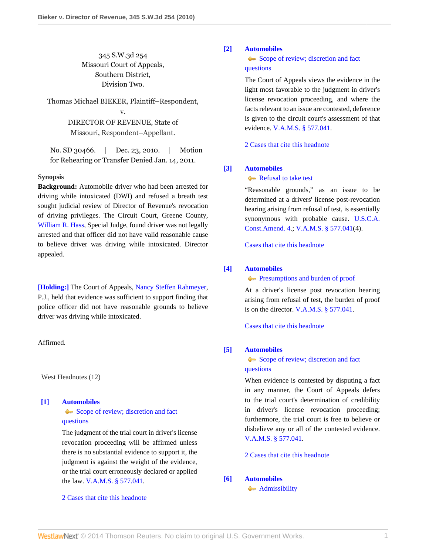# 345 S.W.3d 254 Missouri Court of Appeals, Southern District, Division Two.

Thomas Michael BIEKER, Plaintiff–Respondent, v.

> DIRECTOR OF REVENUE, State of Missouri, Respondent–Appellant.

No. SD 30466. | Dec. 23, 2010. | Motion for Rehearing or Transfer Denied Jan. 14, 2011.

## **Synopsis**

**Background:** Automobile driver who had been arrested for driving while intoxicated (DWI) and refused a breath test sought judicial review of Director of Revenue's revocation of driving privileges. The Circuit Court, Greene County, [William R. Hass](http://www.westlaw.com/Link/Document/FullText?findType=h&pubNum=176284&cite=0235942101&originatingDoc=I773e0e5b128911e0aa23bccc834e9520&refType=RQ&originationContext=document&vr=3.0&rs=cblt1.0&transitionType=DocumentItem&contextData=(sc.Search)), Special Judge, found driver was not legally arrested and that officer did not have valid reasonable cause to believe driver was driving while intoxicated. Director appealed.

**[\[Holding:\]](#page-1-0)** The Court of Appeals, [Nancy Steffen Rahmeyer](http://www.westlaw.com/Link/Document/FullText?findType=h&pubNum=176284&cite=0318661501&originatingDoc=I773e0e5b128911e0aa23bccc834e9520&refType=RQ&originationContext=document&vr=3.0&rs=cblt1.0&transitionType=DocumentItem&contextData=(sc.Search)), P.J., held that evidence was sufficient to support finding that police officer did not have reasonable grounds to believe driver was driving while intoxicated.

# Affirmed.

West Headnotes (12)

#### <span id="page-0-0"></span>**[\[1\]](#page-2-0) [Automobiles](http://www.westlaw.com/Browse/Home/KeyNumber/48A/View.html?docGuid=I773e0e5b128911e0aa23bccc834e9520&originationContext=document&vr=3.0&rs=cblt1.0&transitionType=DocumentItem&contextData=(sc.Search))**

[Scope of review; discretion and fact](http://www.westlaw.com/Browse/Home/KeyNumber/48Ak144.2(3)/View.html?docGuid=I773e0e5b128911e0aa23bccc834e9520&originationContext=document&vr=3.0&rs=cblt1.0&transitionType=DocumentItem&contextData=(sc.Search)) [questions](http://www.westlaw.com/Browse/Home/KeyNumber/48Ak144.2(3)/View.html?docGuid=I773e0e5b128911e0aa23bccc834e9520&originationContext=document&vr=3.0&rs=cblt1.0&transitionType=DocumentItem&contextData=(sc.Search))

The judgment of the trial court in driver's license revocation proceeding will be affirmed unless there is no substantial evidence to support it, the judgment is against the weight of the evidence, or the trial court erroneously declared or applied the law. [V.A.M.S. § 577.041](http://www.westlaw.com/Link/Document/FullText?findType=L&pubNum=1000229&cite=MOST577.041&originatingDoc=I773e0e5b128911e0aa23bccc834e9520&refType=LQ&originationContext=document&vr=3.0&rs=cblt1.0&transitionType=DocumentItem&contextData=(sc.Search)).

[2 Cases that cite this headnote](http://www.westlaw.com/Link/RelatedInformation/DocHeadnoteLink?docGuid=I773e0e5b128911e0aa23bccc834e9520&headnoteId=202422264200120111113080349&originationContext=document&vr=3.0&rs=cblt1.0&transitionType=CitingReferences&contextData=(sc.Search))

# <span id="page-0-1"></span>**[\[2\]](#page-2-1) [Automobiles](http://www.westlaw.com/Browse/Home/KeyNumber/48A/View.html?docGuid=I773e0e5b128911e0aa23bccc834e9520&originationContext=document&vr=3.0&rs=cblt1.0&transitionType=DocumentItem&contextData=(sc.Search))**

[Scope of review; discretion and fact](http://www.westlaw.com/Browse/Home/KeyNumber/48Ak144.2(3)/View.html?docGuid=I773e0e5b128911e0aa23bccc834e9520&originationContext=document&vr=3.0&rs=cblt1.0&transitionType=DocumentItem&contextData=(sc.Search)) [questions](http://www.westlaw.com/Browse/Home/KeyNumber/48Ak144.2(3)/View.html?docGuid=I773e0e5b128911e0aa23bccc834e9520&originationContext=document&vr=3.0&rs=cblt1.0&transitionType=DocumentItem&contextData=(sc.Search))

The Court of Appeals views the evidence in the light most favorable to the judgment in driver's license revocation proceeding, and where the facts relevant to an issue are contested, deference is given to the circuit court's assessment of that evidence. [V.A.M.S. § 577.041](http://www.westlaw.com/Link/Document/FullText?findType=L&pubNum=1000229&cite=MOST577.041&originatingDoc=I773e0e5b128911e0aa23bccc834e9520&refType=LQ&originationContext=document&vr=3.0&rs=cblt1.0&transitionType=DocumentItem&contextData=(sc.Search)).

[2 Cases that cite this headnote](http://www.westlaw.com/Link/RelatedInformation/DocHeadnoteLink?docGuid=I773e0e5b128911e0aa23bccc834e9520&headnoteId=202422264200220111113080349&originationContext=document&vr=3.0&rs=cblt1.0&transitionType=CitingReferences&contextData=(sc.Search))

## <span id="page-0-2"></span>**[\[3\]](#page-2-2) [Automobiles](http://www.westlaw.com/Browse/Home/KeyNumber/48A/View.html?docGuid=I773e0e5b128911e0aa23bccc834e9520&originationContext=document&vr=3.0&rs=cblt1.0&transitionType=DocumentItem&contextData=(sc.Search))**

# [Refusal to take test](http://www.westlaw.com/Browse/Home/KeyNumber/48Ak144.1(1.20)/View.html?docGuid=I773e0e5b128911e0aa23bccc834e9520&originationContext=document&vr=3.0&rs=cblt1.0&transitionType=DocumentItem&contextData=(sc.Search))

"Reasonable grounds," as an issue to be determined at a drivers' license post-revocation hearing arising from refusal of test, is essentially synonymous with probable cause. [U.S.C.A.](http://www.westlaw.com/Link/Document/FullText?findType=L&pubNum=1000546&cite=USCOAMENDIV&originatingDoc=I773e0e5b128911e0aa23bccc834e9520&refType=LQ&originationContext=document&vr=3.0&rs=cblt1.0&transitionType=DocumentItem&contextData=(sc.Search)) [Const.Amend. 4.](http://www.westlaw.com/Link/Document/FullText?findType=L&pubNum=1000546&cite=USCOAMENDIV&originatingDoc=I773e0e5b128911e0aa23bccc834e9520&refType=LQ&originationContext=document&vr=3.0&rs=cblt1.0&transitionType=DocumentItem&contextData=(sc.Search)); [V.A.M.S. § 577.041\(](http://www.westlaw.com/Link/Document/FullText?findType=L&pubNum=1000229&cite=MOST577.041&originatingDoc=I773e0e5b128911e0aa23bccc834e9520&refType=LQ&originationContext=document&vr=3.0&rs=cblt1.0&transitionType=DocumentItem&contextData=(sc.Search))4).

[Cases that cite this headnote](http://www.westlaw.com/Link/RelatedInformation/DocHeadnoteLink?docGuid=I773e0e5b128911e0aa23bccc834e9520&headnoteId=202422264200320111113080349&originationContext=document&vr=3.0&rs=cblt1.0&transitionType=CitingReferences&contextData=(sc.Search))

#### <span id="page-0-3"></span>**[\[4\]](#page-2-3) [Automobiles](http://www.westlaw.com/Browse/Home/KeyNumber/48A/View.html?docGuid=I773e0e5b128911e0aa23bccc834e9520&originationContext=document&vr=3.0&rs=cblt1.0&transitionType=DocumentItem&contextData=(sc.Search))**

**[Presumptions and burden of proof](http://www.westlaw.com/Browse/Home/KeyNumber/48Ak144.2(9.6)/View.html?docGuid=I773e0e5b128911e0aa23bccc834e9520&originationContext=document&vr=3.0&rs=cblt1.0&transitionType=DocumentItem&contextData=(sc.Search))** 

At a driver's license post revocation hearing arising from refusal of test, the burden of proof is on the director. [V.A.M.S. § 577.041](http://www.westlaw.com/Link/Document/FullText?findType=L&pubNum=1000229&cite=MOST577.041&originatingDoc=I773e0e5b128911e0aa23bccc834e9520&refType=LQ&originationContext=document&vr=3.0&rs=cblt1.0&transitionType=DocumentItem&contextData=(sc.Search)).

[Cases that cite this headnote](http://www.westlaw.com/Link/RelatedInformation/DocHeadnoteLink?docGuid=I773e0e5b128911e0aa23bccc834e9520&headnoteId=202422264200420111113080349&originationContext=document&vr=3.0&rs=cblt1.0&transitionType=CitingReferences&contextData=(sc.Search))

## <span id="page-0-4"></span>**[\[5\]](#page-2-4) [Automobiles](http://www.westlaw.com/Browse/Home/KeyNumber/48A/View.html?docGuid=I773e0e5b128911e0aa23bccc834e9520&originationContext=document&vr=3.0&rs=cblt1.0&transitionType=DocumentItem&contextData=(sc.Search))**

[Scope of review; discretion and fact](http://www.westlaw.com/Browse/Home/KeyNumber/48Ak144.2(3)/View.html?docGuid=I773e0e5b128911e0aa23bccc834e9520&originationContext=document&vr=3.0&rs=cblt1.0&transitionType=DocumentItem&contextData=(sc.Search)) [questions](http://www.westlaw.com/Browse/Home/KeyNumber/48Ak144.2(3)/View.html?docGuid=I773e0e5b128911e0aa23bccc834e9520&originationContext=document&vr=3.0&rs=cblt1.0&transitionType=DocumentItem&contextData=(sc.Search))

When evidence is contested by disputing a fact in any manner, the Court of Appeals defers to the trial court's determination of credibility in driver's license revocation proceeding; furthermore, the trial court is free to believe or disbelieve any or all of the contested evidence. [V.A.M.S. § 577.041.](http://www.westlaw.com/Link/Document/FullText?findType=L&pubNum=1000229&cite=MOST577.041&originatingDoc=I773e0e5b128911e0aa23bccc834e9520&refType=LQ&originationContext=document&vr=3.0&rs=cblt1.0&transitionType=DocumentItem&contextData=(sc.Search))

[2 Cases that cite this headnote](http://www.westlaw.com/Link/RelatedInformation/DocHeadnoteLink?docGuid=I773e0e5b128911e0aa23bccc834e9520&headnoteId=202422264200520111113080349&originationContext=document&vr=3.0&rs=cblt1.0&transitionType=CitingReferences&contextData=(sc.Search))

# <span id="page-0-5"></span>**[\[6\]](#page-2-5) [Automobiles](http://www.westlaw.com/Browse/Home/KeyNumber/48A/View.html?docGuid=I773e0e5b128911e0aa23bccc834e9520&originationContext=document&vr=3.0&rs=cblt1.0&transitionType=DocumentItem&contextData=(sc.Search))**

**[Admissibility](http://www.westlaw.com/Browse/Home/KeyNumber/48Ak144.2(9.7)/View.html?docGuid=I773e0e5b128911e0aa23bccc834e9520&originationContext=document&vr=3.0&rs=cblt1.0&transitionType=DocumentItem&contextData=(sc.Search))**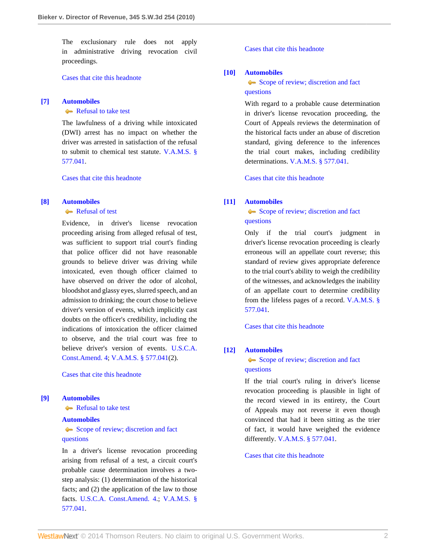The exclusionary rule does not apply in administrative driving revocation civil proceedings.

[Cases that cite this headnote](http://www.westlaw.com/Link/RelatedInformation/DocHeadnoteLink?docGuid=I773e0e5b128911e0aa23bccc834e9520&headnoteId=202422264200620111113080349&originationContext=document&vr=3.0&rs=cblt1.0&transitionType=CitingReferences&contextData=(sc.Search))

#### <span id="page-1-1"></span>**[\[7\]](#page-2-6) [Automobiles](http://www.westlaw.com/Browse/Home/KeyNumber/48A/View.html?docGuid=I773e0e5b128911e0aa23bccc834e9520&originationContext=document&vr=3.0&rs=cblt1.0&transitionType=DocumentItem&contextData=(sc.Search))**

# [Refusal to take test](http://www.westlaw.com/Browse/Home/KeyNumber/48Ak144.1(1.20)/View.html?docGuid=I773e0e5b128911e0aa23bccc834e9520&originationContext=document&vr=3.0&rs=cblt1.0&transitionType=DocumentItem&contextData=(sc.Search))

The lawfulness of a driving while intoxicated (DWI) arrest has no impact on whether the driver was arrested in satisfaction of the refusal to submit to chemical test statute. [V.A.M.S. §](http://www.westlaw.com/Link/Document/FullText?findType=L&pubNum=1000229&cite=MOST577.041&originatingDoc=I773e0e5b128911e0aa23bccc834e9520&refType=LQ&originationContext=document&vr=3.0&rs=cblt1.0&transitionType=DocumentItem&contextData=(sc.Search)) [577.041](http://www.westlaw.com/Link/Document/FullText?findType=L&pubNum=1000229&cite=MOST577.041&originatingDoc=I773e0e5b128911e0aa23bccc834e9520&refType=LQ&originationContext=document&vr=3.0&rs=cblt1.0&transitionType=DocumentItem&contextData=(sc.Search)).

[Cases that cite this headnote](http://www.westlaw.com/Link/RelatedInformation/DocHeadnoteLink?docGuid=I773e0e5b128911e0aa23bccc834e9520&headnoteId=202422264200720111113080349&originationContext=document&vr=3.0&rs=cblt1.0&transitionType=CitingReferences&contextData=(sc.Search))

#### <span id="page-1-0"></span>**[\[8\]](#page-2-7) [Automobiles](http://www.westlaw.com/Browse/Home/KeyNumber/48A/View.html?docGuid=I773e0e5b128911e0aa23bccc834e9520&originationContext=document&vr=3.0&rs=cblt1.0&transitionType=DocumentItem&contextData=(sc.Search))**

# [Refusal of test](http://www.westlaw.com/Browse/Home/KeyNumber/48Ak144.2(10.3)/View.html?docGuid=I773e0e5b128911e0aa23bccc834e9520&originationContext=document&vr=3.0&rs=cblt1.0&transitionType=DocumentItem&contextData=(sc.Search))

Evidence, in driver's license revocation proceeding arising from alleged refusal of test, was sufficient to support trial court's finding that police officer did not have reasonable grounds to believe driver was driving while intoxicated, even though officer claimed to have observed on driver the odor of alcohol, bloodshot and glassy eyes, slurred speech, and an admission to drinking; the court chose to believe driver's version of events, which implicitly cast doubts on the officer's credibility, including the indications of intoxication the officer claimed to observe, and the trial court was free to believe driver's version of events. [U.S.C.A.](http://www.westlaw.com/Link/Document/FullText?findType=L&pubNum=1000546&cite=USCOAMENDIV&originatingDoc=I773e0e5b128911e0aa23bccc834e9520&refType=LQ&originationContext=document&vr=3.0&rs=cblt1.0&transitionType=DocumentItem&contextData=(sc.Search)) [Const.Amend. 4;](http://www.westlaw.com/Link/Document/FullText?findType=L&pubNum=1000546&cite=USCOAMENDIV&originatingDoc=I773e0e5b128911e0aa23bccc834e9520&refType=LQ&originationContext=document&vr=3.0&rs=cblt1.0&transitionType=DocumentItem&contextData=(sc.Search)) [V.A.M.S. § 577.041](http://www.westlaw.com/Link/Document/FullText?findType=L&pubNum=1000229&cite=MOST577.041&originatingDoc=I773e0e5b128911e0aa23bccc834e9520&refType=LQ&originationContext=document&vr=3.0&rs=cblt1.0&transitionType=DocumentItem&contextData=(sc.Search))(2).

[Cases that cite this headnote](http://www.westlaw.com/Link/RelatedInformation/DocHeadnoteLink?docGuid=I773e0e5b128911e0aa23bccc834e9520&headnoteId=202422264200820111113080349&originationContext=document&vr=3.0&rs=cblt1.0&transitionType=CitingReferences&contextData=(sc.Search))

#### <span id="page-1-2"></span>**[\[9\]](#page-2-8) [Automobiles](http://www.westlaw.com/Browse/Home/KeyNumber/48A/View.html?docGuid=I773e0e5b128911e0aa23bccc834e9520&originationContext=document&vr=3.0&rs=cblt1.0&transitionType=DocumentItem&contextData=(sc.Search))**

[Refusal to take test](http://www.westlaw.com/Browse/Home/KeyNumber/48Ak144.1(1.20)/View.html?docGuid=I773e0e5b128911e0aa23bccc834e9520&originationContext=document&vr=3.0&rs=cblt1.0&transitionType=DocumentItem&contextData=(sc.Search))

#### **[Automobiles](http://www.westlaw.com/Browse/Home/KeyNumber/48A/View.html?docGuid=I773e0e5b128911e0aa23bccc834e9520&originationContext=document&vr=3.0&rs=cblt1.0&transitionType=DocumentItem&contextData=(sc.Search))**

# [Scope of review; discretion and fact](http://www.westlaw.com/Browse/Home/KeyNumber/48Ak144.2(3)/View.html?docGuid=I773e0e5b128911e0aa23bccc834e9520&originationContext=document&vr=3.0&rs=cblt1.0&transitionType=DocumentItem&contextData=(sc.Search)) [questions](http://www.westlaw.com/Browse/Home/KeyNumber/48Ak144.2(3)/View.html?docGuid=I773e0e5b128911e0aa23bccc834e9520&originationContext=document&vr=3.0&rs=cblt1.0&transitionType=DocumentItem&contextData=(sc.Search))

In a driver's license revocation proceeding arising from refusal of a test, a circuit court's probable cause determination involves a twostep analysis: (1) determination of the historical facts; and (2) the application of the law to those facts. [U.S.C.A. Const.Amend. 4](http://www.westlaw.com/Link/Document/FullText?findType=L&pubNum=1000546&cite=USCOAMENDIV&originatingDoc=I773e0e5b128911e0aa23bccc834e9520&refType=LQ&originationContext=document&vr=3.0&rs=cblt1.0&transitionType=DocumentItem&contextData=(sc.Search)).; [V.A.M.S. §](http://www.westlaw.com/Link/Document/FullText?findType=L&pubNum=1000229&cite=MOST577.041&originatingDoc=I773e0e5b128911e0aa23bccc834e9520&refType=LQ&originationContext=document&vr=3.0&rs=cblt1.0&transitionType=DocumentItem&contextData=(sc.Search)) [577.041](http://www.westlaw.com/Link/Document/FullText?findType=L&pubNum=1000229&cite=MOST577.041&originatingDoc=I773e0e5b128911e0aa23bccc834e9520&refType=LQ&originationContext=document&vr=3.0&rs=cblt1.0&transitionType=DocumentItem&contextData=(sc.Search)).

[Cases that cite this headnote](http://www.westlaw.com/Link/RelatedInformation/DocHeadnoteLink?docGuid=I773e0e5b128911e0aa23bccc834e9520&headnoteId=202422264200920111113080349&originationContext=document&vr=3.0&rs=cblt1.0&transitionType=CitingReferences&contextData=(sc.Search))

## <span id="page-1-3"></span>**[\[10\]](#page-2-9) [Automobiles](http://www.westlaw.com/Browse/Home/KeyNumber/48A/View.html?docGuid=I773e0e5b128911e0aa23bccc834e9520&originationContext=document&vr=3.0&rs=cblt1.0&transitionType=DocumentItem&contextData=(sc.Search))**

# [Scope of review; discretion and fact](http://www.westlaw.com/Browse/Home/KeyNumber/48Ak144.2(3)/View.html?docGuid=I773e0e5b128911e0aa23bccc834e9520&originationContext=document&vr=3.0&rs=cblt1.0&transitionType=DocumentItem&contextData=(sc.Search)) [questions](http://www.westlaw.com/Browse/Home/KeyNumber/48Ak144.2(3)/View.html?docGuid=I773e0e5b128911e0aa23bccc834e9520&originationContext=document&vr=3.0&rs=cblt1.0&transitionType=DocumentItem&contextData=(sc.Search))

With regard to a probable cause determination in driver's license revocation proceeding, the Court of Appeals reviews the determination of the historical facts under an abuse of discretion standard, giving deference to the inferences the trial court makes, including credibility determinations. [V.A.M.S. § 577.041](http://www.westlaw.com/Link/Document/FullText?findType=L&pubNum=1000229&cite=MOST577.041&originatingDoc=I773e0e5b128911e0aa23bccc834e9520&refType=LQ&originationContext=document&vr=3.0&rs=cblt1.0&transitionType=DocumentItem&contextData=(sc.Search)).

[Cases that cite this headnote](http://www.westlaw.com/Link/RelatedInformation/DocHeadnoteLink?docGuid=I773e0e5b128911e0aa23bccc834e9520&headnoteId=202422264201020111113080349&originationContext=document&vr=3.0&rs=cblt1.0&transitionType=CitingReferences&contextData=(sc.Search))

## <span id="page-1-4"></span>**[\[11\]](#page-2-10) [Automobiles](http://www.westlaw.com/Browse/Home/KeyNumber/48A/View.html?docGuid=I773e0e5b128911e0aa23bccc834e9520&originationContext=document&vr=3.0&rs=cblt1.0&transitionType=DocumentItem&contextData=(sc.Search))**

[Scope of review; discretion and fact](http://www.westlaw.com/Browse/Home/KeyNumber/48Ak144.2(3)/View.html?docGuid=I773e0e5b128911e0aa23bccc834e9520&originationContext=document&vr=3.0&rs=cblt1.0&transitionType=DocumentItem&contextData=(sc.Search)) [questions](http://www.westlaw.com/Browse/Home/KeyNumber/48Ak144.2(3)/View.html?docGuid=I773e0e5b128911e0aa23bccc834e9520&originationContext=document&vr=3.0&rs=cblt1.0&transitionType=DocumentItem&contextData=(sc.Search))

Only if the trial court's judgment in driver's license revocation proceeding is clearly erroneous will an appellate court reverse; this standard of review gives appropriate deference to the trial court's ability to weigh the credibility of the witnesses, and acknowledges the inability of an appellate court to determine credibility from the lifeless pages of a record. [V.A.M.S. §](http://www.westlaw.com/Link/Document/FullText?findType=L&pubNum=1000229&cite=MOST577.041&originatingDoc=I773e0e5b128911e0aa23bccc834e9520&refType=LQ&originationContext=document&vr=3.0&rs=cblt1.0&transitionType=DocumentItem&contextData=(sc.Search)) [577.041](http://www.westlaw.com/Link/Document/FullText?findType=L&pubNum=1000229&cite=MOST577.041&originatingDoc=I773e0e5b128911e0aa23bccc834e9520&refType=LQ&originationContext=document&vr=3.0&rs=cblt1.0&transitionType=DocumentItem&contextData=(sc.Search)).

[Cases that cite this headnote](http://www.westlaw.com/Link/RelatedInformation/DocHeadnoteLink?docGuid=I773e0e5b128911e0aa23bccc834e9520&headnoteId=202422264201120111113080349&originationContext=document&vr=3.0&rs=cblt1.0&transitionType=CitingReferences&contextData=(sc.Search))

## <span id="page-1-5"></span>**[\[12\]](#page-2-11) [Automobiles](http://www.westlaw.com/Browse/Home/KeyNumber/48A/View.html?docGuid=I773e0e5b128911e0aa23bccc834e9520&originationContext=document&vr=3.0&rs=cblt1.0&transitionType=DocumentItem&contextData=(sc.Search))**

# [Scope of review; discretion and fact](http://www.westlaw.com/Browse/Home/KeyNumber/48Ak144.2(3)/View.html?docGuid=I773e0e5b128911e0aa23bccc834e9520&originationContext=document&vr=3.0&rs=cblt1.0&transitionType=DocumentItem&contextData=(sc.Search)) [questions](http://www.westlaw.com/Browse/Home/KeyNumber/48Ak144.2(3)/View.html?docGuid=I773e0e5b128911e0aa23bccc834e9520&originationContext=document&vr=3.0&rs=cblt1.0&transitionType=DocumentItem&contextData=(sc.Search))

If the trial court's ruling in driver's license revocation proceeding is plausible in light of the record viewed in its entirety, the Court of Appeals may not reverse it even though convinced that had it been sitting as the trier of fact, it would have weighed the evidence differently. [V.A.M.S. § 577.041](http://www.westlaw.com/Link/Document/FullText?findType=L&pubNum=1000229&cite=MOST577.041&originatingDoc=I773e0e5b128911e0aa23bccc834e9520&refType=LQ&originationContext=document&vr=3.0&rs=cblt1.0&transitionType=DocumentItem&contextData=(sc.Search)).

# [Cases that cite this headnote](http://www.westlaw.com/Link/RelatedInformation/DocHeadnoteLink?docGuid=I773e0e5b128911e0aa23bccc834e9520&headnoteId=202422264201220111113080349&originationContext=document&vr=3.0&rs=cblt1.0&transitionType=CitingReferences&contextData=(sc.Search))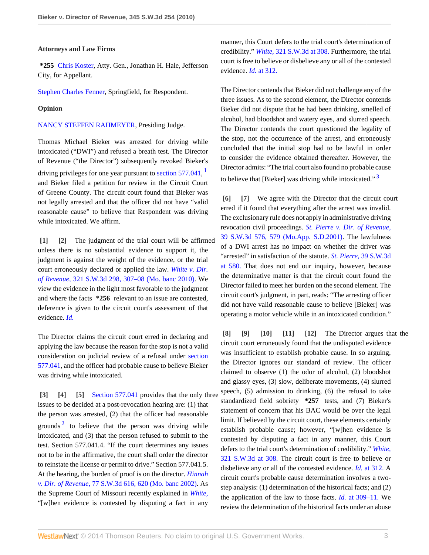#### **Attorneys and Law Firms**

**\*255** [Chris Koster,](http://www.westlaw.com/Link/Document/FullText?findType=h&pubNum=176284&cite=0369913201&originatingDoc=I773e0e5b128911e0aa23bccc834e9520&refType=RQ&originationContext=document&vr=3.0&rs=cblt1.0&transitionType=DocumentItem&contextData=(sc.Search)) Atty. Gen., Jonathan H. Hale, Jefferson City, for Appellant.

[Stephen Charles Fenner,](http://www.westlaw.com/Link/Document/FullText?findType=h&pubNum=176284&cite=0141393301&originatingDoc=I773e0e5b128911e0aa23bccc834e9520&refType=RQ&originationContext=document&vr=3.0&rs=cblt1.0&transitionType=DocumentItem&contextData=(sc.Search)) Springfield, for Respondent.

#### **Opinion**

[NANCY STEFFEN RAHMEYER,](http://www.westlaw.com/Link/Document/FullText?findType=h&pubNum=176284&cite=0318661501&originatingDoc=I773e0e5b128911e0aa23bccc834e9520&refType=RQ&originationContext=document&vr=3.0&rs=cblt1.0&transitionType=DocumentItem&contextData=(sc.Search)) Presiding Judge.

Thomas Michael Bieker was arrested for driving while intoxicated ("DWI") and refused a breath test. The Director of Revenue ("the Director") subsequently revoked Bieker's driving privileges for one year pursuant to section  $577.041$  $577.041$ ,  $<sup>1</sup>$ </sup> and Bieker filed a petition for review in the Circuit Court of Greene County. The circuit court found that Bieker was not legally arrested and that the officer did not have "valid reasonable cause" to believe that Respondent was driving while intoxicated. We affirm.

<span id="page-2-1"></span><span id="page-2-0"></span>**[\[1\]](#page-0-0) [\[2\]](#page-0-1)** The judgment of the trial court will be affirmed unless there is no substantial evidence to support it, the judgment is against the weight of the evidence, or the trial court erroneously declared or applied the law. *[White v. Dir.](http://www.westlaw.com/Link/Document/FullText?findType=Y&serNum=2022811102&pubNum=4644&fi=co_pp_sp_4644_307&originationContext=document&vr=3.0&rs=cblt1.0&transitionType=DocumentItem&contextData=(sc.Search)#co_pp_sp_4644_307) of Revenue,* [321 S.W.3d 298, 307–08 \(Mo. banc 2010\).](http://www.westlaw.com/Link/Document/FullText?findType=Y&serNum=2022811102&pubNum=4644&fi=co_pp_sp_4644_307&originationContext=document&vr=3.0&rs=cblt1.0&transitionType=DocumentItem&contextData=(sc.Search)#co_pp_sp_4644_307) We view the evidence in the light most favorable to the judgment and where the facts **\*256** relevant to an issue are contested, deference is given to the circuit court's assessment of that evidence. *[Id.](http://www.westlaw.com/Link/Document/FullText?findType=Y&serNum=2022811102&originationContext=document&vr=3.0&rs=cblt1.0&transitionType=DocumentItem&contextData=(sc.Search))*

The Director claims the circuit court erred in declaring and applying the law because the reason for the stop is not a valid consideration on judicial review of a refusal under [section](http://www.westlaw.com/Link/Document/FullText?findType=L&pubNum=1000229&cite=MOST577.041&originatingDoc=I773e0e5b128911e0aa23bccc834e9520&refType=LQ&originationContext=document&vr=3.0&rs=cblt1.0&transitionType=DocumentItem&contextData=(sc.Search)) [577.041](http://www.westlaw.com/Link/Document/FullText?findType=L&pubNum=1000229&cite=MOST577.041&originatingDoc=I773e0e5b128911e0aa23bccc834e9520&refType=LQ&originationContext=document&vr=3.0&rs=cblt1.0&transitionType=DocumentItem&contextData=(sc.Search)), and the officer had probable cause to believe Bieker was driving while intoxicated.

<span id="page-2-13"></span><span id="page-2-4"></span><span id="page-2-3"></span><span id="page-2-2"></span>**[\[3\]](#page-0-2) [\[4](#page-0-3)] [\[5\]](#page-0-4)** [Section 577.041](http://www.westlaw.com/Link/Document/FullText?findType=L&pubNum=1000229&cite=MOST577.041&originatingDoc=I773e0e5b128911e0aa23bccc834e9520&refType=LQ&originationContext=document&vr=3.0&rs=cblt1.0&transitionType=DocumentItem&contextData=(sc.Search)) provides that the only three issues to be decided at a post-revocation hearing are: (1) that the person was arrested, (2) that the officer had reasonable grounds<sup>[2](#page-3-1)</sup> to believe that the person was driving while intoxicated, and (3) that the person refused to submit to the test. Section 577.041.4. "If the court determines any issues not to be in the affirmative, the court shall order the director to reinstate the license or permit to drive." Section 577.041.5. At the hearing, the burden of proof is on the director. *[Hinnah](http://www.westlaw.com/Link/Document/FullText?findType=Y&serNum=2002392519&pubNum=4644&fi=co_pp_sp_4644_620&originationContext=document&vr=3.0&rs=cblt1.0&transitionType=DocumentItem&contextData=(sc.Search)#co_pp_sp_4644_620) v. Dir. of Revenue,* [77 S.W.3d 616, 620 \(Mo. banc 2002\).](http://www.westlaw.com/Link/Document/FullText?findType=Y&serNum=2002392519&pubNum=4644&fi=co_pp_sp_4644_620&originationContext=document&vr=3.0&rs=cblt1.0&transitionType=DocumentItem&contextData=(sc.Search)#co_pp_sp_4644_620) As the Supreme Court of Missouri recently explained in *[White,](http://www.westlaw.com/Link/Document/FullText?findType=Y&serNum=2022811102&originationContext=document&vr=3.0&rs=cblt1.0&transitionType=DocumentItem&contextData=(sc.Search))* "[w]hen evidence is contested by disputing a fact in any

manner, this Court defers to the trial court's determination of credibility." *White,* [321 S.W.3d at 308.](http://www.westlaw.com/Link/Document/FullText?findType=Y&serNum=2022811102&pubNum=4644&fi=co_pp_sp_4644_308&originationContext=document&vr=3.0&rs=cblt1.0&transitionType=DocumentItem&contextData=(sc.Search)#co_pp_sp_4644_308) Furthermore, the trial court is free to believe or disbelieve any or all of the contested evidence. *Id.* [at 312.](http://www.westlaw.com/Link/Document/FullText?findType=Y&serNum=2022811102&originationContext=document&vr=3.0&rs=cblt1.0&transitionType=DocumentItem&contextData=(sc.Search))

The Director contends that Bieker did not challenge any of the three issues. As to the second element, the Director contends Bieker did not dispute that he had been drinking, smelled of alcohol, had bloodshot and watery eyes, and slurred speech. The Director contends the court questioned the legality of the stop, not the occurrence of the arrest, and erroneously concluded that the initial stop had to be lawful in order to consider the evidence obtained thereafter. However, the Director admits: "The trial court also found no probable cause to believe that [Bieker] was driving while intoxicated." $3$ 

<span id="page-2-14"></span><span id="page-2-12"></span><span id="page-2-6"></span><span id="page-2-5"></span>**[\[6\]](#page-0-5) [\[7\]](#page-1-1)** We agree with the Director that the circuit court erred if it found that everything after the arrest was invalid. The exclusionary rule does not apply in administrative driving revocation civil proceedings. *[St. Pierre v. Dir. of Revenue,](http://www.westlaw.com/Link/Document/FullText?findType=Y&serNum=2001241565&pubNum=4644&fi=co_pp_sp_4644_579&originationContext=document&vr=3.0&rs=cblt1.0&transitionType=DocumentItem&contextData=(sc.Search)#co_pp_sp_4644_579)* [39 S.W.3d 576, 579 \(Mo.App. S.D.2001\).](http://www.westlaw.com/Link/Document/FullText?findType=Y&serNum=2001241565&pubNum=4644&fi=co_pp_sp_4644_579&originationContext=document&vr=3.0&rs=cblt1.0&transitionType=DocumentItem&contextData=(sc.Search)#co_pp_sp_4644_579) The lawfulness of a DWI arrest has no impact on whether the driver was "arrested" in satisfaction of the statute. *St. Pierre,* [39 S.W.3d](http://www.westlaw.com/Link/Document/FullText?findType=Y&serNum=2001241565&pubNum=4644&fi=co_pp_sp_4644_580&originationContext=document&vr=3.0&rs=cblt1.0&transitionType=DocumentItem&contextData=(sc.Search)#co_pp_sp_4644_580) [at 580.](http://www.westlaw.com/Link/Document/FullText?findType=Y&serNum=2001241565&pubNum=4644&fi=co_pp_sp_4644_580&originationContext=document&vr=3.0&rs=cblt1.0&transitionType=DocumentItem&contextData=(sc.Search)#co_pp_sp_4644_580) That does not end our inquiry, however, because the determinative matter is that the circuit court found the Director failed to meet her burden on the second element. The circuit court's judgment, in part, reads: "The arresting officer did not have valid reasonable cause to believe [Bieker] was operating a motor vehicle while in an intoxicated condition."

<span id="page-2-11"></span><span id="page-2-10"></span><span id="page-2-9"></span><span id="page-2-8"></span><span id="page-2-7"></span>**[\[8\]](#page-1-0) [\[9](#page-1-2)] [\[10\]](#page-1-3) [\[11\]](#page-1-4) [\[12\]](#page-1-5)** The Director argues that the circuit court erroneously found that the undisputed evidence was insufficient to establish probable cause. In so arguing, the Director ignores our standard of review. The officer claimed to observe (1) the odor of alcohol, (2) bloodshot and glassy eyes, (3) slow, deliberate movements, (4) slurred speech, (5) admission to drinking, (6) the refusal to take standardized field sobriety **\*257** tests, and (7) Bieker's statement of concern that his BAC would be over the legal limit. If believed by the circuit court, these elements certainly establish probable cause; however, "[w]hen evidence is contested by disputing a fact in any manner, this Court defers to the trial court's determination of credibility." *[White,](http://www.westlaw.com/Link/Document/FullText?findType=Y&serNum=2022811102&pubNum=4644&fi=co_pp_sp_4644_308&originationContext=document&vr=3.0&rs=cblt1.0&transitionType=DocumentItem&contextData=(sc.Search)#co_pp_sp_4644_308)* [321 S.W.3d at 308.](http://www.westlaw.com/Link/Document/FullText?findType=Y&serNum=2022811102&pubNum=4644&fi=co_pp_sp_4644_308&originationContext=document&vr=3.0&rs=cblt1.0&transitionType=DocumentItem&contextData=(sc.Search)#co_pp_sp_4644_308) The circuit court is free to believe or disbelieve any or all of the contested evidence. *Id.* [at 312.](http://www.westlaw.com/Link/Document/FullText?findType=Y&serNum=2022811102&originationContext=document&vr=3.0&rs=cblt1.0&transitionType=DocumentItem&contextData=(sc.Search)) A circuit court's probable cause determination involves a twostep analysis: (1) determination of the historical facts; and (2) the application of the law to those facts. *Id.* [at 309–11.](http://www.westlaw.com/Link/Document/FullText?findType=Y&serNum=2022811102&originationContext=document&vr=3.0&rs=cblt1.0&transitionType=DocumentItem&contextData=(sc.Search)) We review the determination of the historical facts under an abuse